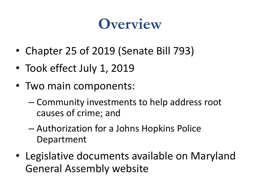#### **Overview**

- Chapter 25 of 2019 (Senate Bill 793)
- Took effect July 1, 2019
- Two main components:
	- Community investments to help address root causes of crime; and
	- Authorization for a Johns Hopkins Police Department
- Legislative documents available on Maryland General Assembly website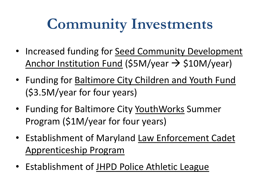## **Community Investments**

- Increased funding for Seed Community Development Anchor Institution Fund (\$5M/year  $\rightarrow$  \$10M/year)
- Funding for Baltimore City Children and Youth Fund (\$3.5M/year for four years)
- Funding for Baltimore City YouthWorks Summer Program (\$1M/year for four years)
- Establishment of Maryland Law Enforcement Cadet Apprenticeship Program
- Establishment of JHPD Police Athletic League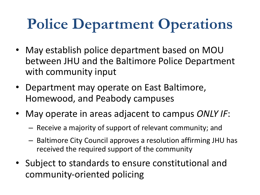# **Police Department Operations**

- May establish police department based on MOU between JHU and the Baltimore Police Department with community input
- Department may operate on East Baltimore, Homewood, and Peabody campuses
- May operate in areas adjacent to campus *ONLY IF*:
	- Receive a majority of support of relevant community; and
	- Baltimore City Council approves a resolution affirming JHU has received the required support of the community
- Subject to standards to ensure constitutional and community-oriented policing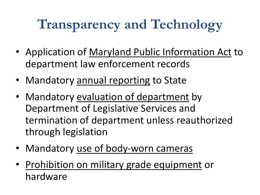## **Transparency and Technology**

- Application of Maryland Public Information Act to department law enforcement records
- Mandatory annual reporting to State
- Mandatory evaluation of department by Department of Legislative Services and termination of department unless reauthorized through legislation
- Mandatory use of body-worn cameras
- Prohibition on military grade equipment or hardware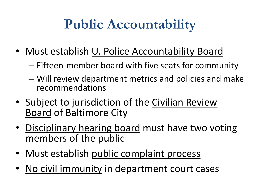### **Public Accountability**

- Must establish U. Police Accountability Board
	- Fifteen-member board with five seats for community
	- Will review department metrics and policies and make recommendations
- Subject to jurisdiction of the Civilian Review Board of Baltimore City
- Disciplinary hearing board must have two voting members of the public
- Must establish public complaint process
- No civil immunity in department court cases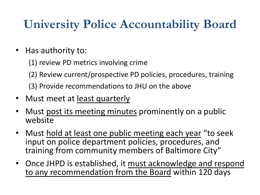#### **University Police Accountability Board**

- Has authority to:
	- (1) review PD metrics involving crime
	- (2) Review current/prospective PD policies, procedures, training
	- (3) Provide recommendations to JHU on the above
- Must meet at least quarterly
- Must post its meeting minutes prominently on a public website
- Must hold at least one public meeting each year "to seek input on police department policies, procedures, and training from community members of Baltimore City"
- Once JHPD is established, it must acknowledge and respond to any recommendation from the Board within 120 days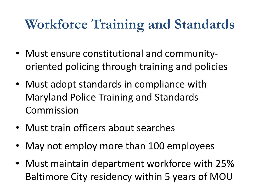#### **Workforce Training and Standards**

- Must ensure constitutional and communityoriented policing through training and policies
- Must adopt standards in compliance with Maryland Police Training and Standards Commission
- Must train officers about searches
- May not employ more than 100 employees
- Must maintain department workforce with 25% Baltimore City residency within 5 years of MOU